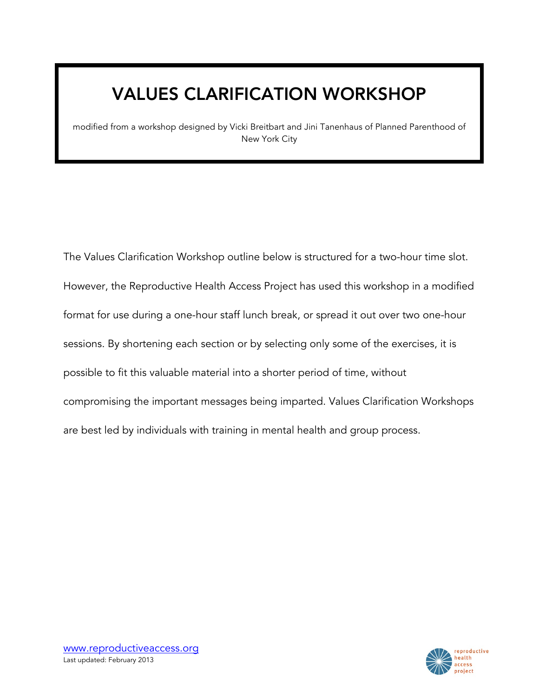# VALUES CLARIFICATION WORKSHOP

modified from a workshop designed by Vicki Breitbart and Jini Tanenhaus of Planned Parenthood of New York City

The Values Clarification Workshop outline below is structured for a two-hour time slot. However, the Reproductive Health Access Project has used this workshop in a modified format for use during a one-hour staff lunch break, or spread it out over two one-hour sessions. By shortening each section or by selecting only some of the exercises, it is possible to fit this valuable material into a shorter period of time, without compromising the important messages being imparted. Values Clarification Workshops are best led by individuals with training in mental health and group process.

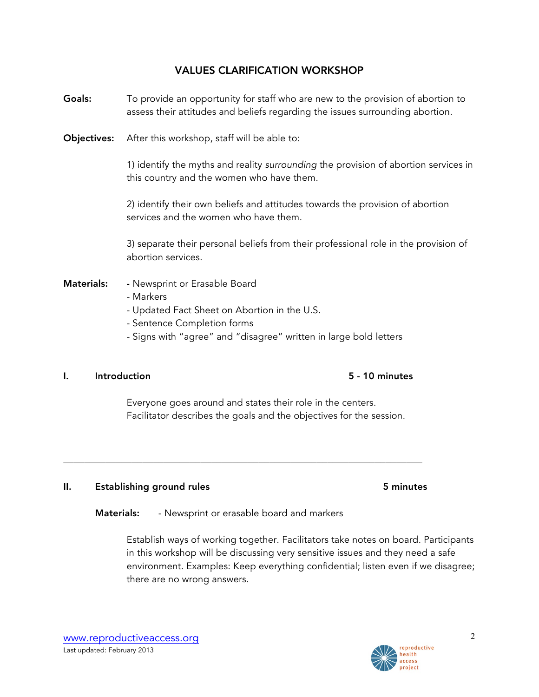### VALUES CLARIFICATION WORKSHOP

- Goals: To provide an opportunity for staff who are new to the provision of abortion to assess their attitudes and beliefs regarding the issues surrounding abortion.
- **Objectives:** After this workshop, staff will be able to:

1) identify the myths and reality *surrounding* the provision of abortion services in this country and the women who have them.

2) identify their own beliefs and attitudes towards the provision of abortion services and the women who have them.

3) separate their personal beliefs from their professional role in the provision of abortion services.

- Materials: Newsprint or Erasable Board
	- Markers
	- Updated Fact Sheet on Abortion in the U.S.
	- Sentence Completion forms
	- Signs with "agree" and "disagree" written in large bold letters

### I. Introduction 5 - 10 minutes

Facilitator describes the goals and the objectives for the session.

\_\_\_\_\_\_\_\_\_\_\_\_\_\_\_\_\_\_\_\_\_\_\_\_\_\_\_\_\_\_\_\_\_\_\_\_\_\_\_\_\_\_\_\_\_\_\_\_\_\_\_\_\_\_\_\_\_\_\_\_\_\_\_\_\_\_\_\_

### II. Establishing ground rules **5** minutes

Materials: - Newsprint or erasable board and markers

Establish ways of working together. Facilitators take notes on board. Participants in this workshop will be discussing very sensitive issues and they need a safe environment. Examples: Keep everything confidential; listen even if we disagree; there are no wrong answers.



# Everyone goes around and states their role in the centers.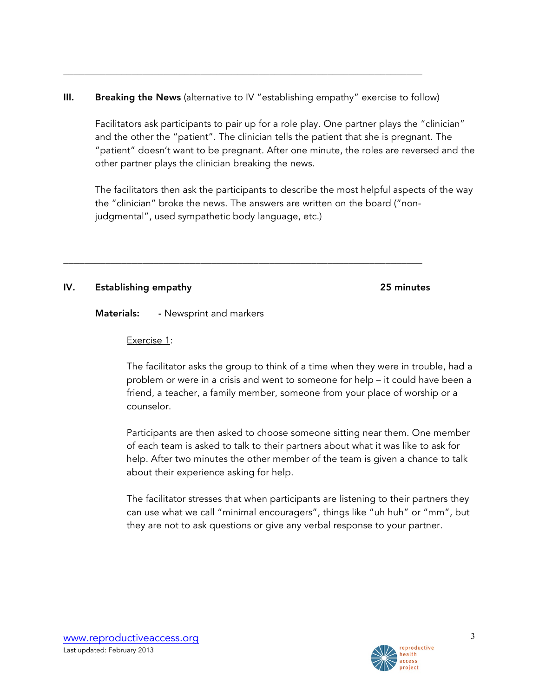### III. Breaking the News (alternative to IV "establishing empathy" exercise to follow)

\_\_\_\_\_\_\_\_\_\_\_\_\_\_\_\_\_\_\_\_\_\_\_\_\_\_\_\_\_\_\_\_\_\_\_\_\_\_\_\_\_\_\_\_\_\_\_\_\_\_\_\_\_\_\_\_\_\_\_\_\_\_\_\_\_\_\_\_

\_\_\_\_\_\_\_\_\_\_\_\_\_\_\_\_\_\_\_\_\_\_\_\_\_\_\_\_\_\_\_\_\_\_\_\_\_\_\_\_\_\_\_\_\_\_\_\_\_\_\_\_\_\_\_\_\_\_\_\_\_\_\_\_\_\_\_\_

Facilitators ask participants to pair up for a role play. One partner plays the "clinician" and the other the "patient". The clinician tells the patient that she is pregnant. The "patient" doesn't want to be pregnant. After one minute, the roles are reversed and the other partner plays the clinician breaking the news.

The facilitators then ask the participants to describe the most helpful aspects of the way the "clinician" broke the news. The answers are written on the board ("nonjudgmental", used sympathetic body language, etc.)

### IV. Establishing empathy 25 minutes

**Materials:** - Newsprint and markers

Exercise 1:

The facilitator asks the group to think of a time when they were in trouble, had a problem or were in a crisis and went to someone for help – it could have been a friend, a teacher, a family member, someone from your place of worship or a counselor.

Participants are then asked to choose someone sitting near them. One member of each team is asked to talk to their partners about what it was like to ask for help. After two minutes the other member of the team is given a chance to talk about their experience asking for help.

The facilitator stresses that when participants are listening to their partners they can use what we call "minimal encouragers", things like "uh huh" or "mm", but they are not to ask questions or give any verbal response to your partner.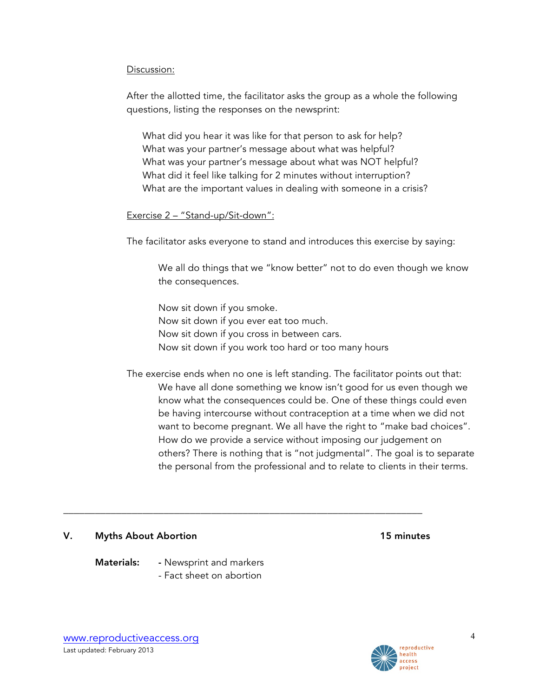#### Discussion:

After the allotted time, the facilitator asks the group as a whole the following questions, listing the responses on the newsprint:

What did you hear it was like for that person to ask for help? What was your partner's message about what was helpful? What was your partner's message about what was NOT helpful? What did it feel like talking for 2 minutes without interruption? What are the important values in dealing with someone in a crisis?

### Exercise 2 – "Stand-up/Sit-down":

The facilitator asks everyone to stand and introduces this exercise by saying:

We all do things that we "know better" not to do even though we know the consequences.

Now sit down if you smoke. Now sit down if you ever eat too much. Now sit down if you cross in between cars. Now sit down if you work too hard or too many hours

The exercise ends when no one is left standing. The facilitator points out that: We have all done something we know isn't good for us even though we know what the consequences could be. One of these things could even be having intercourse without contraception at a time when we did not want to become pregnant. We all have the right to "make bad choices". How do we provide a service without imposing our judgement on others? There is nothing that is "not judgmental". The goal is to separate the personal from the professional and to relate to clients in their terms.

#### V. Myths About Abortion **15 minutes**

Materials: - Newsprint and markers

- Fact sheet on abortion

\_\_\_\_\_\_\_\_\_\_\_\_\_\_\_\_\_\_\_\_\_\_\_\_\_\_\_\_\_\_\_\_\_\_\_\_\_\_\_\_\_\_\_\_\_\_\_\_\_\_\_\_\_\_\_\_\_\_\_\_\_\_\_\_\_\_\_\_

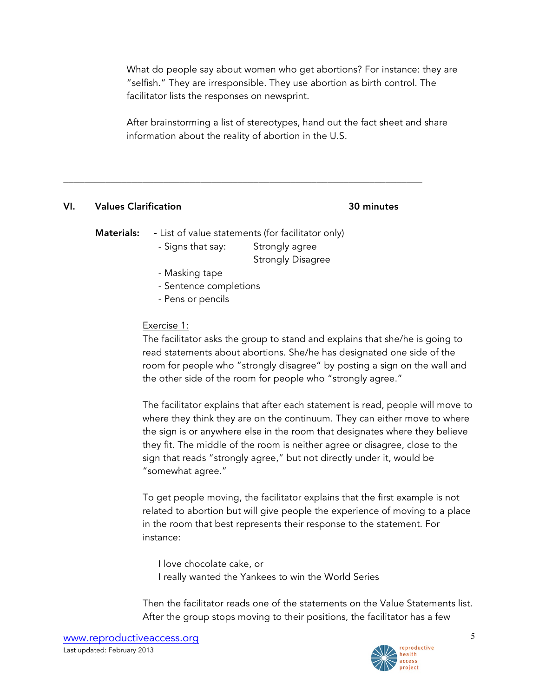What do people say about women who get abortions? For instance: they are "selfish." They are irresponsible. They use abortion as birth control. The facilitator lists the responses on newsprint.

After brainstorming a list of stereotypes, hand out the fact sheet and share information about the reality of abortion in the U.S.

### VI. Values Clarification 30 minutes

**Materials:** - List of value statements (for facilitator only)

\_\_\_\_\_\_\_\_\_\_\_\_\_\_\_\_\_\_\_\_\_\_\_\_\_\_\_\_\_\_\_\_\_\_\_\_\_\_\_\_\_\_\_\_\_\_\_\_\_\_\_\_\_\_\_\_\_\_\_\_\_\_\_\_\_\_\_\_

- Signs that say: Strongly agree

Strongly Disagree

- Masking tape
- Sentence completions
- Pens or pencils

### Exercise 1:

The facilitator asks the group to stand and explains that she/he is going to read statements about abortions. She/he has designated one side of the room for people who "strongly disagree" by posting a sign on the wall and the other side of the room for people who "strongly agree."

The facilitator explains that after each statement is read, people will move to where they think they are on the continuum. They can either move to where the sign is or anywhere else in the room that designates where they believe they fit. The middle of the room is neither agree or disagree, close to the sign that reads "strongly agree," but not directly under it, would be "somewhat agree."

To get people moving, the facilitator explains that the first example is not related to abortion but will give people the experience of moving to a place in the room that best represents their response to the statement. For instance:

I love chocolate cake, or I really wanted the Yankees to win the World Series

Then the facilitator reads one of the statements on the Value Statements list. After the group stops moving to their positions, the facilitator has a few

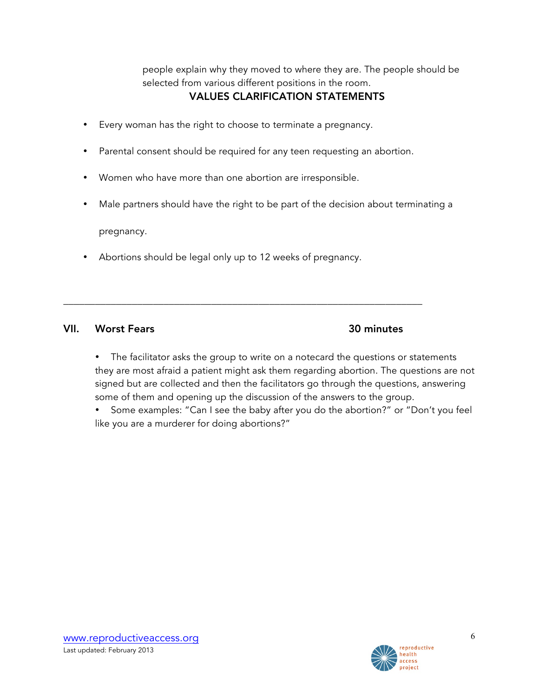people explain why they moved to where they are. The people should be selected from various different positions in the room.

### VALUES CLARIFICATION STATEMENTS

- Every woman has the right to choose to terminate a pregnancy.
- Parental consent should be required for any teen requesting an abortion.
- Women who have more than one abortion are irresponsible.
- Male partners should have the right to be part of the decision about terminating a

pregnancy.

Abortions should be legal only up to 12 weeks of pregnancy.

\_\_\_\_\_\_\_\_\_\_\_\_\_\_\_\_\_\_\_\_\_\_\_\_\_\_\_\_\_\_\_\_\_\_\_\_\_\_\_\_\_\_\_\_\_\_\_\_\_\_\_\_\_\_\_\_\_\_\_\_\_\_\_\_\_\_\_\_

### VII. Worst Fears 30 minutes

- The facilitator asks the group to write on a notecard the questions or statements they are most afraid a patient might ask them regarding abortion. The questions are not signed but are collected and then the facilitators go through the questions, answering some of them and opening up the discussion of the answers to the group.
- Some examples: "Can I see the baby after you do the abortion?" or "Don't you feel like you are a murderer for doing abortions?"

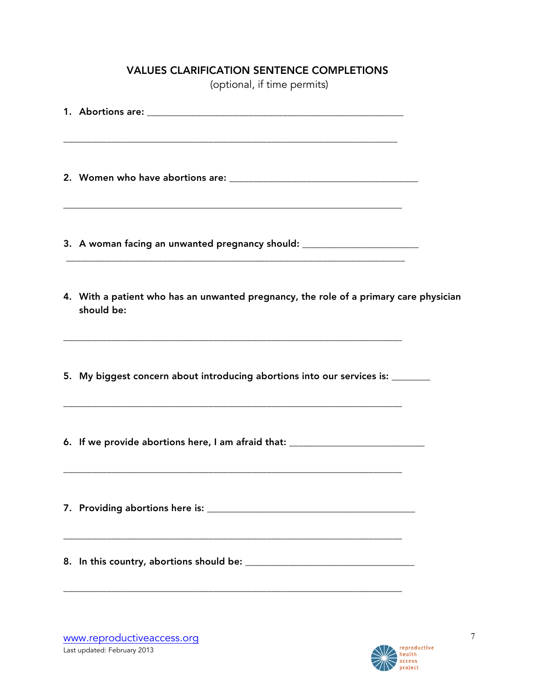### VALUES CLARIFICATION SENTENCE COMPLETIONS

(optional, if time permits)

| 3. A woman facing an unwanted pregnancy should: ________________________________                                                                                                                         |  |
|----------------------------------------------------------------------------------------------------------------------------------------------------------------------------------------------------------|--|
| 4. With a patient who has an unwanted pregnancy, the role of a primary care physician<br>should be:                                                                                                      |  |
| 5. My biggest concern about introducing abortions into our services is: _______<br><u> 1989 - Johann Harry Harry Harry Harry Harry Harry Harry Harry Harry Harry Harry Harry Harry Harry Harry Harry</u> |  |
| 6. If we provide abortions here, I am afraid that: _____________________________                                                                                                                         |  |
|                                                                                                                                                                                                          |  |
|                                                                                                                                                                                                          |  |

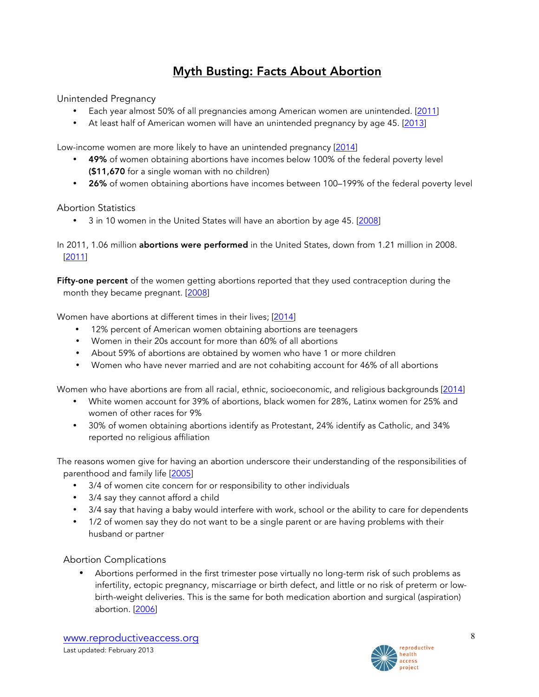# Myth Busting: Facts About Abortion

Unintended Pregnancy

- Each year almost 50% of all pregnancies among American women are unintended. [2011]
- At least half of American women will have an unintended pregnancy by age 45. [2013]

Low-income women are more likely to have an unintended pregnancy [2014]

- 49% of women obtaining abortions have incomes below 100% of the federal poverty level (\$11,670 for a single woman with no children)
- 26% of women obtaining abortions have incomes between 100-199% of the federal poverty level

### Abortion Statistics

• 3 in 10 women in the United States will have an abortion by age 45. [2008]

In 2011, 1.06 million abortions were performed in the United States, down from 1.21 million in 2008. [2011]

Fifty-one percent of the women getting abortions reported that they used contraception during the month they became pregnant. [2008]

Women have abortions at different times in their lives; [2014]

- 12% percent of American women obtaining abortions are teenagers
- Women in their 20s account for more than 60% of all abortions
- About 59% of abortions are obtained by women who have 1 or more children
- Women who have never married and are not cohabiting account for 46% of all abortions

Women who have abortions are from all racial, ethnic, socioeconomic, and religious backgrounds [2014]

- White women account for 39% of abortions, black women for 28%, Latinx women for 25% and women of other races for 9%
- 30% of women obtaining abortions identify as Protestant, 24% identify as Catholic, and 34% reported no religious affiliation

The reasons women give for having an abortion underscore their understanding of the responsibilities of parenthood and family life [2005]

- 3/4 of women cite concern for or responsibility to other individuals
- 3/4 say they cannot afford a child
- 3/4 say that having a baby would interfere with work, school or the ability to care for dependents
- 1/2 of women say they do not want to be a single parent or are having problems with their husband or partner

#### Abortion Complications

• Abortions performed in the first trimester pose virtually no long-term risk of such problems as infertility, ectopic pregnancy, miscarriage or birth defect, and little or no risk of preterm or lowbirth-weight deliveries. This is the same for both medication abortion and surgical (aspiration) abortion. [2006]